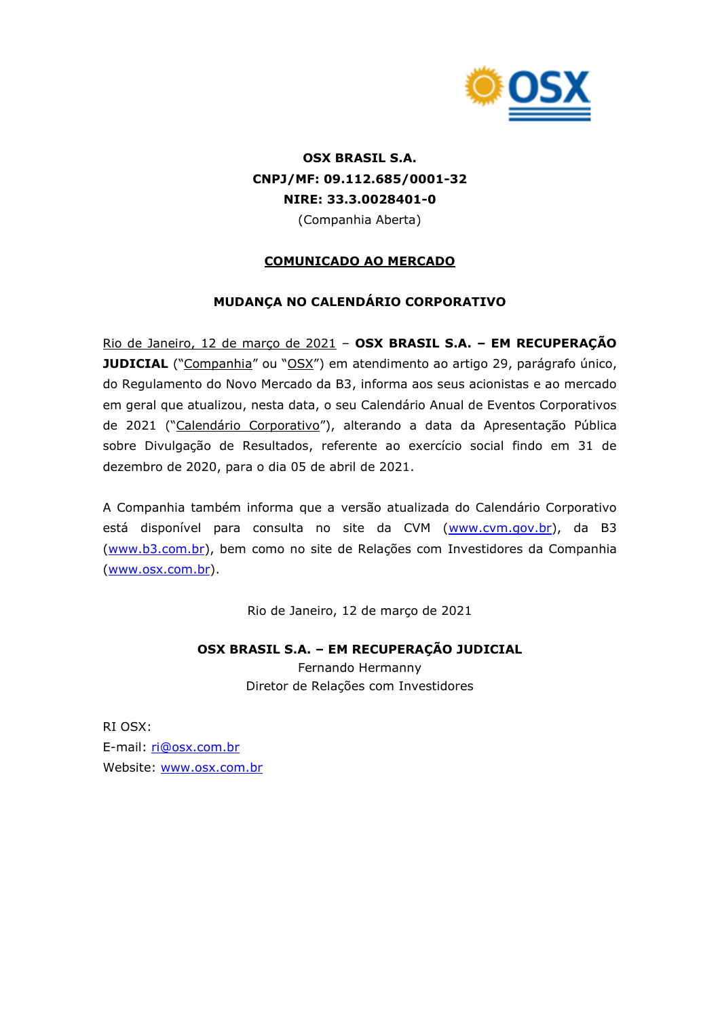

# **OSX BRASIL S.A. CNPJ/MF: 09.112.685/0001-32 NIRE: 33.3.0028401-0** (Companhia Aberta)

## **COMUNICADO AO MERCADO**

## **MUDANÇA NO CALENDÁRIO CORPORATIVO**

Rio de Janeiro, 12 de março de 2021 – **OSX BRASIL S.A. – EM RECUPERAÇÃO JUDICIAL** ("Companhia" ou "OSX") em atendimento ao artigo 29, parágrafo único, do Regulamento do Novo Mercado da B3, informa aos seus acionistas e ao mercado em geral que atualizou, nesta data, o seu Calendário Anual de Eventos Corporativos de 2021 ("Calendário Corporativo"), alterando a data da Apresentação Pública sobre Divulgação de Resultados, referente ao exercício social findo em 31 de dezembro de 2020, para o dia 05 de abril de 2021.

A Companhia também informa que a versão atualizada do Calendário Corporativo está disponível para consulta no site da CVM [\(www.cvm.gov.br\)](http://www.cvm.gov.br/), da B3 [\(www.b3.com.br\)](http://www.b3.com.br/), bem como no site de Relações com Investidores da Companhia [\(www.osx.com.br\)](http://www.osx.com.br/).

Rio de Janeiro, 12 de março de 2021

### **OSX BRASIL S.A. – EM RECUPERAÇÃO JUDICIAL**

Fernando Hermanny Diretor de Relações com Investidores

RI OSX: E-mail: [ri@osx.com.br](mailto:ri@osx.com.br) Website: [www.osx.com.br](http://www.osx.com.br/)